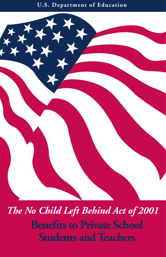### **U.S. Department of Education**

*The No Child Left Behind Act of 2001*

**Benefits to Private School Students and Teachers**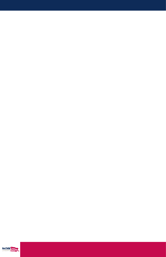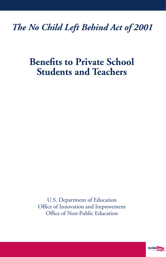# *The No Child Left Behind Act of 2001*

# **Benefits to Private School Students and Teachers**

U.S. Department of Education Office of Innovation and Improvement Office of Non-Public Education

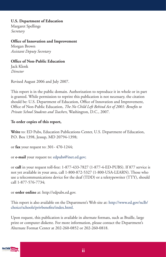#### **U.S. Department of Education**

Margaret Spellings *Secretary*

#### **Office of Innovation and Improvement**

Morgan Brown *Assistant Deputy Secretary*

#### **Office of Non-Public Education**

Jack Klenk *Director*

Revised August 2006 and July 2007.

This report is in the public domain. Authorization to reproduce it in whole or in part is granted. While permission to reprint this publication is not necessary, the citation should be: U.S. Department of Education, Office of Innovation and Improvement, Office of Non-Public Education, *The No Child Left Behind Act of 2001: Benefits to Private School Students and Teachers*, Washington, D.C., 2007.

#### **To order copies of this report,**

**Write** to: ED Pubs, Education Publications Center, U.S. Department of Education, P.O. Box 1398, Jessup, MD 20794-1398;

or **fax** your request to: 301- 470-1244;

or **e-mail** your request to: edpubs@inet.ed.gov;

or **call** in your request toll-free: 1-877-433-7827 (1-877-4-ED-PUBS). If 877 service is not yet available in your area, call 1-800-872-5327 (1-800-USA-LEARN). Those who use a telecommunications device for the deaf (TDD) or a teletypewriter (TTY), should call 1-877-576-7734;

#### or **order online** at: http://edpubs.ed.gov.

This report is also available on the Department's Web site at: http://www.ed.gov/nclb/ choice/schools/privbenefits/index.html.

Upon request, this publication is available in alternate formats, such as Braille, large print or computer diskette. For more information, please contact the Department's Alternate Format Center at 202-260-0852 or 202-260-0818.

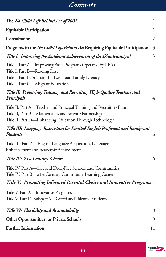# *Contents*

| The No Child Left Behind Act of 2001                                                                                                                                                     | 1              |
|------------------------------------------------------------------------------------------------------------------------------------------------------------------------------------------|----------------|
| <b>Equitable Participation</b>                                                                                                                                                           | $\mathbf{1}$   |
| Consultation                                                                                                                                                                             | $\mathfrak{2}$ |
| Programs in the No Child Left Behind Act Requiring Equitable Participation                                                                                                               | $\overline{3}$ |
| Title I: Improving the Academic Achievement of the Disadvantaged                                                                                                                         | 3              |
| Title I, Part A—Improving Basic Programs Operated by LEAs<br>Title I, Part B—Reading First<br>Title I, Part B, Subpart 3-Even Start Family Literacy<br>Title I, Part C-Migrant Education |                |
| Title II: Preparing, Training and Recruiting High-Quality Teachers and<br>Principals                                                                                                     | $\overline{4}$ |
| Title II, Part A—Teacher and Principal Training and Recruiting Fund<br>Title II, Part B-Mathematics and Science Partnerships<br>Title II, Part D-Enhancing Education Through Technology  |                |
| Title III: Language Instruction for Limited English Proficient and Immigrant<br><b>Students</b>                                                                                          | 6              |
| Title III, Part A—English Language Acquisition, Language<br>Enhancement and Academic Achievement                                                                                         |                |
| <b>Title IV: 21st Century Schools</b>                                                                                                                                                    | 6              |
| Title IV, Part A—Safe and Drug-Free Schools and Communities<br>Title IV, Part B-21st Century Community Learning Centers                                                                  |                |
| <b>Title V: Promoting Informed Parental Choice and Innovative Programs</b> 7                                                                                                             |                |
| Title V, Part A—Innovative Programs<br>Title V, Part D, Subpart 6-Gifted and Talented Students                                                                                           |                |
| Title VI: Flexibility and Accountability                                                                                                                                                 | 8              |
| <b>Other Opportunities for Private Schools</b>                                                                                                                                           | 9              |
| <b>Further Information</b>                                                                                                                                                               | 11             |

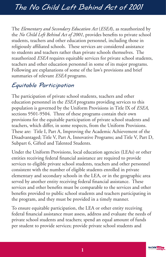# *The No Child Left Behind Act of 2001*

The *Elementary and Secondary Education Act* (*ESEA*), as reauthorized by the *No Child Left Behind Act of 2001*, provides benefits to private school students, teachers and other education personnel, including those in religiously affiliated schools. These services are considered assistance to students and teachers rather than private schools themselves. The reauthorized *ESEA* requires equitable services for private school students, teachers and other education personnel in some of its major programs. Following are explanations of some of the law's provisions and brief summaries of relevant *ESEA* programs.

# *Equitable Participation*

The participation of private school students, teachers and other education personnel in the *ESEA* programs providing services to this population is governed by the Uniform Provisions in Title IX of *ESEA*, sections 9501-9504. Three of these programs contain their own provisions for the equitable participation of private school students and teachers, which differ, in some respects, from the Uniform Provisions. These are: Title I, Part A, Improving the Academic Achievement of the Disadvantaged; Title V, Part A, Innovative Programs; and Title V, Part D, Subpart 6, Gifted and Talented Students.

Under the Uniform Provisions, local education agencies (LEAs) or other entities receiving federal financial assistance are required to provide services to eligible private school students, teachers and other personnel consistent with the number of eligible students enrolled in private elementary and secondary schools in the LEA, or in the geographic area served by another entity receiving federal financial assistance. These services and other benefits must be comparable to the services and other benefits provided to public school students and teachers participating in the program, and they must be provided in a timely manner.

To ensure equitable participation, the LEA or other entity receiving federal financial assistance must assess, address and evaluate the needs of private school students and teachers; spend an equal amount of funds per student to provide services; provide private school students and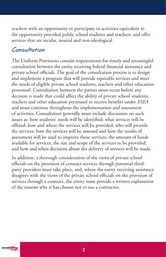teachers with an opportunity to participate in activities equivalent to the opportunity provided public school students and teachers; and offer services that are secular, neutral and non-ideological.

## *Consultation*

The Uniform Provisions contain requirements for timely and meaningful consultation between the entity receiving federal financial assistance and private school officials. The goal of the consultation process is to design and implement a program that will provide equitable services and meet the needs of eligible private school students, teachers and other education personnel. Consultation between the parties must occur before any decision is made that could affect the ability of private school students, teachers and other education personnel to receive benefits under *ESEA*  and must continue throughout the implementation and assessment of activities. Consultation generally must include discussion on such issues as: how students' needs will be identified; what services will be offered; how and where the services will be provided; who will provide the services; how the services will be assessed and how the results of assessment will be used to improve those services; the amount of funds available for services; the size and scope of the services to be provided; and how and when decisions about the delivery of services will be made.

In addition, a thorough consideration of the views of private school officials on the provision of contract services through potential thirdparty providers must take place, and, where the entity receiving assistance disagrees with the views of the private school officials on the provision of services through a contract, the entity must provide a written explanation of the reasons why it has chosen not to use a contractor.

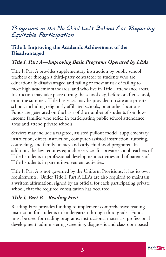### *Programs in the* **No Child Left Behind Act** *Requiring Equitable Participation*

#### **Title I: Improving the Academic Achievement of the Disadvantaged**

### *Title I, Part A—Improving Basic Programs Operated by LEAs*

Title I, Part A provides supplementary instruction by public school teachers or through a third-party contractor to students who are educationally disadvantaged and failing or most at risk of failing to meet high academic standards, and who live in Title I attendance areas. Instruction may take place during the school day, before or after school, or in the summer. Title I services may be provided on site at a private school, including religiously affiliated schools, or at other locations. Funds are generated on the basis of the number of students from lowincome families who reside in participating public school attendance areas and attend private schools.

Services may include a targeted, assisted pullout model, supplementary instruction, direct instruction, computer-assisted instruction, tutoring, counseling, and family literacy and early childhood programs. In addition, the law requires equitable services for private school teachers of Title I students in professional development activities and of parents of Title I students in parent involvement activities.

Title I, Part A is not governed by the Uniform Provisions; it has its own requirements. Under Title I, Part A LEAs are also required to maintain a written affirmation, signed by an official for each participating private school, that the required consultation has occurred.

#### *Title I, Part B—Reading First*

Reading First provides funding to implement comprehensive reading instruction for students in kindergarten through third grade. Funds must be used for reading programs; instructional materials; professional development; administering screening, diagnostic and classroom-based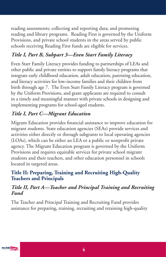reading assessments; collecting and reporting data; and promoting reading and library programs. Reading First is governed by the Uniform Provisions, and private school students in the areas served by public schools receiving Reading First funds are eligible for services.

### *Title I, Part B, Subpart 3—Even Start Family Literacy*

Even Start Family Literacy provides funding to partnerships of LEAs and other public and private entities to support family literacy programs that integrate early childhood education, adult education, parenting education, and literacy activities for low-income families and their children from birth through age 7. The Even Start Family Literacy program is governed by the Uniform Provisions, and grant applicants are required to consult in a timely and meaningful manner with private schools in designing and implementing programs for school-aged students.

## *Title I, Part C—Migrant Education*

Migrant Education provides financial assistance to improve education for migrant students. State education agencies (SEAs) provide services and activities either directly or through subgrants to local operating agencies (LOAs), which can be either an LEA or a public or nonprofit private agency. The Migrant Education program is governed by the Uniform Provisions and requires equitable services for private school migrant students and their teachers, and other education personnel in schools located in targeted areas.

#### **Title II: Preparing, Training and Recruiting High-Quality Teachers and Principals**

#### *Title II, Part A—Teacher and Principal Training and Recruiting Fund*

The Teacher and Principal Training and Recruiting Fund provides assistance for preparing, training, recruiting and retaining high-quality

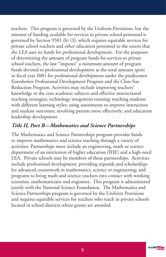teachers. This program is governed by the Uniform Provisions, but the amount of funding available for services to private school personnel is governed by Section 9501 (b) (3), which requires equitable services for private school teachers and other education personnel to the extent that the LEA uses its funds for professional development. For the purposes of determining the amount of program funds for services to private school teachers, the law "imputes" a minimum amount of program funds devoted to professional development as the total amount spent in fiscal year 2001 for professional development under the predecessor Eisenhower Professional Development Program and the Class Size Reduction Program. Activities may include improving teachers' knowledge in the core academic subjects and effective instructional teaching strategies; technology integration training; teaching students with different learning styles; using assessments to improve instruction and student outcomes; involving parents more effectively; and education leadership development.

#### *Title II, Part B—Mathematics and Science Partnerships*

The Mathematics and Science Partnerships program provides funds to improve mathematics and science teaching through a variety of activities. Partnerships must include an engineering, math or science department of an institution of higher education (IHE) and a high-need LEA. Private schools may be members of these partnerships. Activities include professional development; providing stipends and scholarships for advanced coursework in mathematics, science or engineering; and programs to bring math and science teachers into contact with working scientists, mathematicians and engineers. This program is administered jointly with the National Science Foundation. The Mathematics and Science Partnerships program is governed by the Uniform Provisions and requires equitable services for teachers who teach in private schools located in school districts where grants are awarded.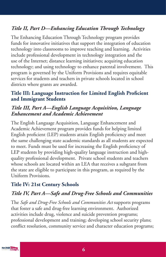### *Title II, Part D—Enhancing Education Through Technology*

The Enhancing Education Through Technology program provides funds for innovative initiatives that support the integration of education technology into classrooms to improve teaching and learning. Activities include professional development in technology integration and the use of the Internet; distance learning initiatives; acquiring education technology; and using technology to enhance parental involvement. This program is governed by the Uniform Provisions and requires equitable services for students and teachers in private schools located in school districts where grants are awarded.

#### **Title III: Language Instruction for Limited English Proficient and Immigrant Students**

#### *Title III, Part A—English Language Acquisition, Language Enhancement and Academic Achievement*

The English Language Acquisition, Language Enhancement and Academic Achievement program provides funds for helping limited English proficient (LEP) students attain English proficiency and meet the same challenging state academic standards as all students are expected to meet. Funds must be used for increasing the English proficiency of LEP students by providing high-quality language instruction and highquality professional development. Private school students and teachers whose schools are located within an LEA that receives a subgrant from the state are eligible to participate in this program, as required by the Uniform Provisions.

#### **Title IV: 21st Century Schools**

#### *Title IV, Part A—Safe and Drug-Free Schools and Communities*

The *Safe and Drug-Free Schools and Communities Act* supports programs that foster a safe and drug-free learning environment. Authorized activities include drug, violence and suicide prevention programs; professional development and training; developing school security plans; conflict resolution, community service and character education programs;

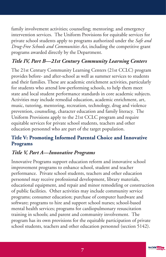family involvement activities; counseling; mentoring; and emergency intervention services. The Uniform Provisions for equitable services for private school students apply to programs authorized under the *Safe and Drug-Free Schools and Communities Act*, including the competitive grant programs awarded directly by the Department.

#### *Title IV, Part B—21st Century Community Learning Centers*

The 21st Century Community Learning Centers (21st CCLC) program provides before- and after-school as well as summer services to students and their families. These are academic enrichment activities, particularly for students who attend low-performing schools, to help them meet state and local student performance standards in core academic subjects. Activities may include remedial education, academic enrichment, art, music, tutoring, mentoring, recreation, technology, drug and violence prevention, counseling, character education and family literacy. The Uniform Provisions apply to the 21st CCLC program and require equitable services for private school students, teachers and other education personnel who are part of the target population.

#### **Title V: Promoting Informed Parental Choice and Innovative Programs**

#### *Title V, Part A—Innovative Programs*

Innovative Programs support education reform and innovative school improvement programs to enhance school, student and teacher performance. Private school students, teachers and other education personnel may receive professional development, library materials, educational equipment, and repair and minor remodeling or construction of public facilities. Other activities may include community service programs; consumer education; purchase of computer hardware and software; programs to hire and support school nurses; school-based mental health services; programs for cardiopulmonary resuscitation training in schools; and parent and community involvement. The program has its own provisions for the equitable participation of private school students, teachers and other education personnel (section 5142).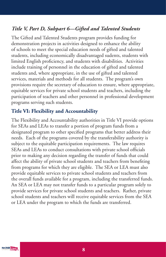### *Title V, Part D, Subpart 6—Gifted and Talented Students*

The Gifted and Talented Students program provides funding for demonstration projects in activities designed to enhance the ability of schools to meet the special education needs of gifted and talented students, including economically disadvantaged sudents, students with limited English proficiency, and students with disabilities. Activities include training of personnel in the education of gifted and talented students and, where appropriate, in the use of gifted and talented services, materials and methods for all students. The program's own provisions require the secretary of education to ensure, where appropriate, equitable services for private school students and teachers, including the participation of teachers and other personnel in professional development programs serving such students.

#### **Title VI: Flexibility and Accountability**

The Flexibility and Accountability authorities in Title VI provide options for SEAs and LEAs to transfer a portion of program funds from a designated program to other specified programs that better address their needs. Each of the programs covered by the transferability authority is subject to the equitable participation requirements. The law requires SEAs and LEAs to conduct consultations with private school officials prior to making any decision regarding the transfer of funds that could affect the ability of private school students and teachers from benefiting from programs for which they are eligible. The SEA or LEA must also provide equitable services to private school students and teachers from the overall funds available for a program, including the transferred funds. An SEA or LEA may not transfer funds to a particular program solely to provide services for private school students and teachers. Rather, private school students and teachers will receive equitable services from the SEA or LEA under the program to which the funds are transferred.

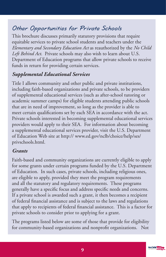# *Other Opportunities for Private Schools*

This brochure discusses primarily statutory provisions that require equitable services to private school students and teachers under the *Elementary and Secondary Education Act* as reauthorized by the *No Child Left Behind Act*. Private schools may also wish to learn about U.S. Department of Education programs that allow private schools to receive funds in return for providing certain services.

#### *Supplemental Educational Services*

Title I allows community and other public and private institutions, including faith-based organizations and private schools, to be providers of supplemental educational services (such as after-school tutoring or academic summer camps) for eligible students attending public schools that are in need of improvement, so long as the provider is able to meet certain qualifications set by each SEA in accordance with the act. Private schools interested in becoming supplemental educational services providers would apply to their SEA. For information about becoming a supplemental educational services provider, visit the U.S. Department of Education Web site at http:// www.ed.gov/nclb/choice/help/ses/ privschools.html.

#### *Grants*

Faith-based and community organizations are currently eligible to apply for some grants under certain programs funded by the U.S. Department of Education. In such cases, private schools, including religious ones, are eligible to apply, provided they meet the program requirements and all the statutory and regulatory requirements. These programs generally have a specific focus and address specific needs and concerns. If a private school is awarded such a grant, it then becomes a recipient of federal financial assistance and is subject to the laws and regulations that apply to recipients of federal financial assistance. This is a factor for private schools to consider prior to applying for a grant.

The programs listed below are some of those that provide for eligibility for community-based organizations and nonprofit organizations. Not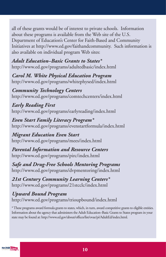all of these grants would be of interest to private schools. Information about these programs is available from the Web site of the U.S. Department of Education's Center for Faith-Based and Community Initiatives at http://www.ed.gov/faithandcommunity. Such information is also available on individual program Web sites:

*Adult Education–Basic Grants to States\**  http://www.ed.gov/programs/adultedbasic/index.html

*Carol M. White Physical Education Program*  http://www.ed.gov/programs/whitephysed/index.html

*Community Technology Centers*  http://www.ed.gov/programs/comtechcenters/index.html

*Early Reading First* http://www.ed.gov/programs/earlyreading/index.html

*Even Start Family Literacy Program\**  http://www.ed.gov/programs/evenstartformula/index.html

*Migrant Education Even Start* http://www.ed.gov/programs/mees/index.html

*Parental Information and Resource Centers* http://www.ed.gov/programs/pirc/index.html

*Safe and Drug-Free Schools Mentoring Programs*  http://www.ed.gov/programs/dvpmentoring/index.html

*21st Century Community Learning Centers\**  http://www.ed.gov/programs/21stcclc/index.html

*Upward Bound Program* http://www.ed.gov/programs/trioupbound/index.html

\* These programs award formula grants to states, which, in turn, award competitive grants to eligible entities. Information about the agency that administers the Adult Education–Basic Grants to States program in your state may be found at: http://www.ed.gov/about/offices/list/ovae/pi/AdultEd/index.html.

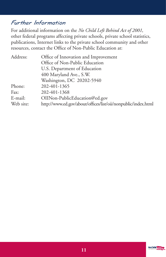## *Further Information*

For additional information on the *No Child Left Behind Act of 2001*, other federal programs affecting private schools, private school statistics, publications, Internet links to the private school community and other resources, contact the Office of Non-Public Education at:

| Office of Innovation and Improvement                          |
|---------------------------------------------------------------|
| Office of Non-Public Education                                |
| U.S. Department of Education                                  |
| 400 Maryland Ave., S.W.                                       |
| Washington, DC 20202-5940                                     |
| 202-401-1365                                                  |
| 202-401-1368                                                  |
| OIINon-PublicEducation@ed.gov                                 |
| http://www.ed.gov/about/offices/list/oii/nonpublic/index.html |
|                                                               |